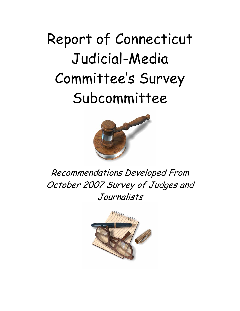# Report of Connecticut Judicial-Media Committee's Survey Subcommittee



Recommendations Developed From October 2007 Survey of Judges and Journalists

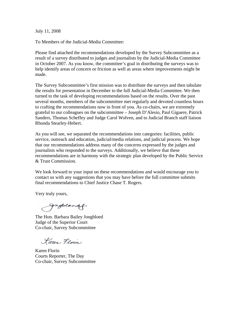July 11, 2008

To Members of the Judicial-Media Committee:

Please find attached the recommendations developed by the Survey Subcommittee as a result of a survey distributed to judges and journalists by the Judicial-Media Committee in October 2007. As you know, the committee's goal in distributing the surveys was to help identify areas of concern or friction as well as areas where improvements might be made.

The Survey Subcommittee's first mission was to distribute the surveys and then tabulate the results for presentation in December to the full Judicial-Media Committee. We then turned to the task of developing recommendations based on the results. Over the past several months, members of the subcommittee met regularly and devoted countless hours to crafting the recommendations now in front of you. As co-chairs, we are extremely grateful to our colleagues on the subcommittee – Joseph D'Alesio, Paul Giguere, Patrick Sanders, Thomas Scheffey and Judge Carol Wolven, and to Judicial Branch staff liaison Rhonda Stearley-Hebert.

As you will see, we separated the recommendations into categories: facilities, public service, outreach and education, judicial/media relations, and judicial process. We hope that our recommendations address many of the concerns expressed by the judges and journalists who responded to the surveys. Additionally, we believe that these recommendations are in harmony with the strategic plan developed by the Public Service & Trust Commission.

We look forward to your input on these recommendations and would encourage you to contact us with any suggestions that you may have before the full committee submits final recommendations to Chief Justice Chase T. Rogers.

Very truly yours,

gneblocaf.

The Hon. Barbara Bailey Jongbloed Judge of the Superior Court Co-chair, Survey Subcommittee

Karen Florin

Karen Florin Courts Reporter, The Day Co-chair, Survey Subcommittee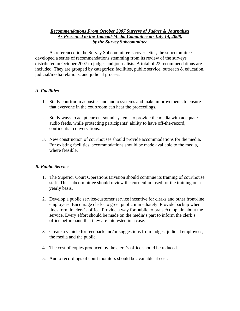## *Recommendations From October 2007 Surveys of Judges & Journalists As Presented to the Judicial-Media Committee on July 14, 2008, by the Survey Subcommittee*

 As referenced in the Survey Subcommittee's cover letter, the subcommittee developed a series of recommendations stemming from its review of the surveys distributed in October 2007 to judges and journalists. A total of 22 recommendations are included. They are grouped by categories: facilities, public service, outreach & education, judicial/media relations, and judicial process.

# *A. Facilities*

- 1. Study courtroom acoustics and audio systems and make improvements to ensure that everyone in the courtroom can hear the proceedings.
- 2. Study ways to adapt current sound systems to provide the media with adequate audio feeds, while protecting participants' ability to have off-the-record, confidential conversations.
- 3. New construction of courthouses should provide accommodations for the media. For existing facilities, accommodations should be made available to the media, where feasible.

#### *B. Public Service*

- 1. The Superior Court Operations Division should continue its training of courthouse staff. This subcommittee should review the curriculum used for the training on a yearly basis.
- 2. Develop a public service/customer service incentive for clerks and other front-line employees. Encourage clerks to greet public immediately. Provide backup when lines form in clerk's office. Provide a way for public to praise/complain about the service. Every effort should be made on the media's part to inform the clerk's office beforehand that they are interested in a case.
- 3. Create a vehicle for feedback and/or suggestions from judges, judicial employees, the media and the public.
- 4. The cost of copies produced by the clerk's office should be reduced.
- 5. Audio recordings of court monitors should be available at cost.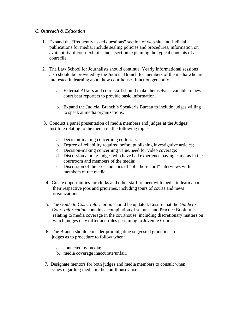## *C. Outreach & Education*

- 1. Expand the "frequently asked questions" section of web site and Judicial publications for media. Include sealing policies and procedures, information on availability of court exhibits and a section explaining the typical contents of a court file.
- 2. The Law School for Journalists should continue. Yearly informational sessions also should be provided by the Judicial Branch for members of the media who are interested in learning about how courthouses function generally.
	- a. External Affairs and court staff should make themselves available to new court beat reporters to provide basic information.
	- b. Expand the Judicial Branch's Speaker's Bureau to include judges willing to speak at media organizations.
- 3. Conduct a panel presentation of media members and judges at the Judges' Institute relating to the media on the following topics:
	- a. Decision-making concerning editorials;
	- b. Degree of reliability required before publishing investigative articles;
	- c. Decision-making concerning value/need for video coverage;
	- d. Discussion among judges who have had experience having cameras in the courtroom and members of the media;
	- e. Discussion of the pros and cons of "off-the-record" interviews with members of the media.
	- 4. Create opportunities for clerks and other staff to meet with media to learn about their respective jobs and priorities, including tours of courts and news organizations.
	- 5. The *Guide to Court Information* should be updated. Ensure that the *Guide to Court Information* contains a compilation of statutes and Practice Book rules relating to media coverage in the courthouse, including discretionary matters on which judges may differ and rules pertaining to Juvenile Court.
	- 6. The Branch should consider promulgating suggested guidelines for judges as to procedure to follow when:
		- a. contacted by media;
		- b. media coverage inaccurate/unfair.
- 7. Designate mentors for both judges and media members to consult when issues regarding media in the courthouse arise.